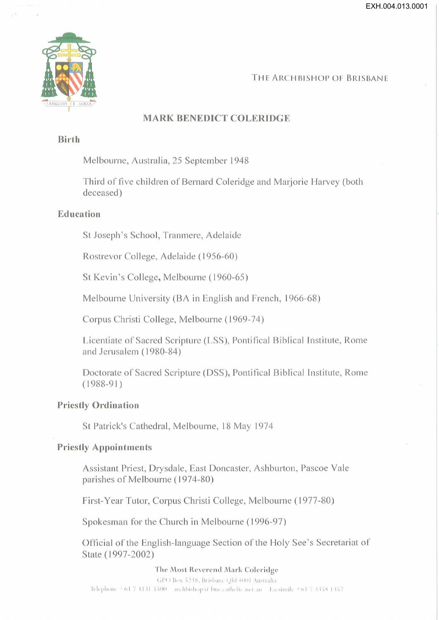EXH.004.013.0001



## THE ARCHBISHOP OF BRISBANE

## **MARK BENEDICT COLERIDGE**

#### **Birth**

Melbourne, Australia, 25 September 1948

Third of five children of Bernard Coleridge and Marjorie Harvey (both deceased)

### Education

St Joseph's School, Tranmere, Adelaide

Rostrevor College, Adelaide (1956-60)

St Kevin's College, Melbourne (1960-65)

Melbourne University (BA in English and French, 1966-68)

Corpus Christi College, Melbourne (1969-74)

Licentiate of Sacred Scripture (LSS), Pontifical Biblical Institute, Rome and Jerusalem (1980-84)

Doctorate of Sacred Scripture (DSS), Pontifical Biblical Institute, Rome  $(1988-91)$ 

#### **Priestly Ordination**

St Patrick's Cathedral, Melbourne, 18 May 1974

#### **Priestly Appointments**

Assistant Priest, Drysdale, East Doncaster, Ashburton, Pascoe Vale parishes of Melbourne (1974-80)

First-Year Tutor, Corpus Christi College, Melbourne (1977-80)

Spokesman for the Church in Melbourne (1996-97)

Official of the English-language Section of the Holy See's Secretariat of State (1997-2002)

The Most Reverend Mark Coleridge

GPO Box 5238, Brisbane Old 4001 Australia Telephone +61 7 3131 5500 archbishop(a bne.catholic.net.au Facsimile +61 7 3358 1357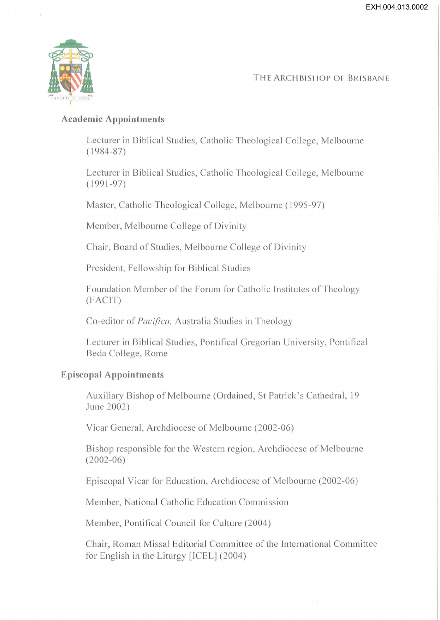

 $\sim$   $\lambda$ 

THE ARCHBISHOP OF BRISBANE

# **Academic Appointments**

Lecturer in Biblical Studies, Catholic Theological College, Melbourne ( 1984-87)

Lecturer in Biblical Studies, Catholic Theological College, Melbourne  $(1991 - 97)$ 

Master, Catholic Theological College, Melbourne (1995-97)

Member, Melbourne College of Divinity

Chair, Board of Studies, Melbourne College of Divinity

President, Fellowship for Biblical Studies

Foundation Member of the Forum for Catholic Institutes of Theology (FACIT)

Co-editor of *Pacifica*, Australia Studies in Theology

Lecturer in Biblical Studies, Pontifical Gregorian University, Pontifical Beda College, Rome

# **Episcopal Appointments**

Auxiliary Bishop of Melbourne (Ordained, St Patrick's Cathedral, 19 June 2002)

Vicar General, Archdiocese of Melbourne (2002-06)

Bishop responsible for the Western region, Archdiocese of Melbourne (2002-06)

Episcopal Vicar for Education, Archdiocese of Melbourne (2002-06)

Member, National Catholic Education Commission

Member, Pontifical Council for Culture (2004)

Chair, Roman Missal Editorial Committee of the International Committee for English in the Liturgy [ICEL] (2004)